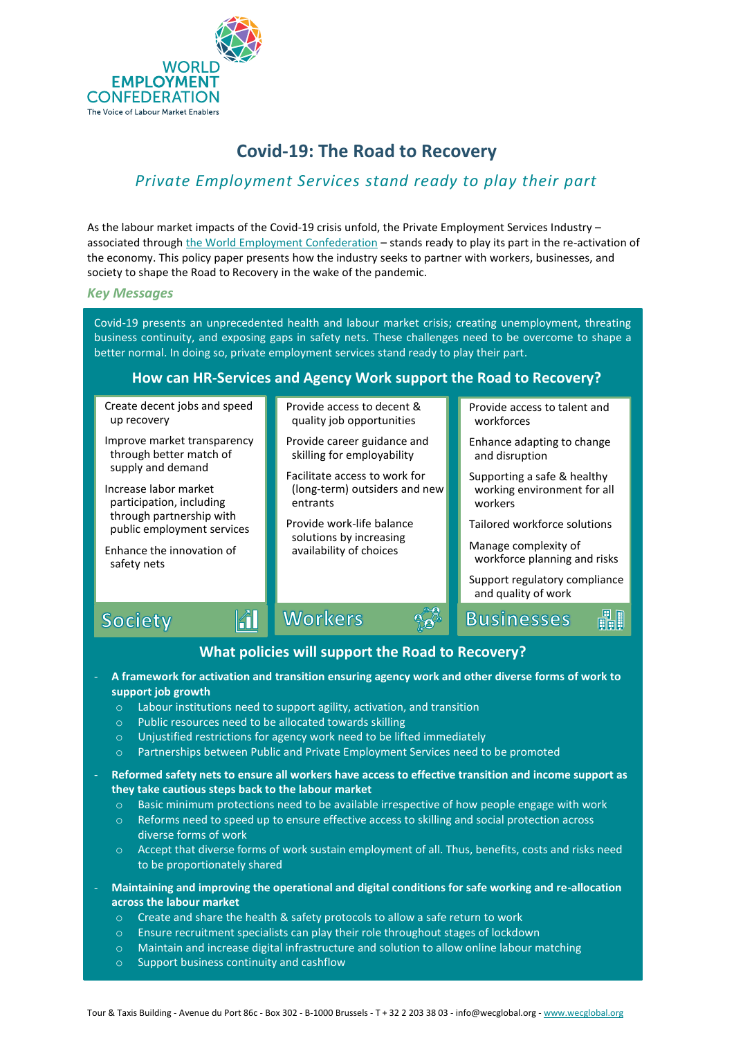

# *Private Employment Services stand ready to play their part*

As the labour market impacts of the Covid-19 crisis unfold, the Private Employment Services Industry – associated throug[h the World Employment Confederation](https://www.wecglobal.org/) - stands ready to play its part in the re-activation of the economy. This policy paper presents how the industry seeks to partner with workers, businesses, and society to shape the Road to Recovery in the wake of the pandemic.

#### *Key Messages*

Covid-19 presents an unprecedented health and labour market crisis; creating unemployment, threating business continuity, and exposing gaps in safety nets. These challenges need to be overcome to shape a better normal. In doing so, private employment services stand ready to play their part.

#### **How can HR-Services and Agency Work support the Road to Recovery?**

Create decent jobs and speed up recovery

- Improve market transparency through better match of supply and demand
- Increase labor market participation, including through partnership with public employment services
- Enhance the innovation of safety nets

Society

Provide access to decent & quality job opportunities

- Provide career guidance and skilling for employability
- Facilitate access to work for (long-term) outsiders and new entrants

Provide work-life balance solutions by increasing availability of choices

Provide access to talent and workforces

- Enhance adapting to change and disruption
- Supporting a safe & healthy working environment for all workers
- Tailored workforce solutions
- Manage complexity of workforce planning and risks

Support regulatory compliance and quality of work

**Fin** 

**Businesses** 

## **What policies will support the Road to Recovery?**

 $\frac{1}{2}$ 

- **A framework for activation and transition ensuring agency work and other diverse forms of work to support job growth** 
	- o Labour institutions need to support agility, activation, and transition

Workers

o Public resources need to be allocated towards skilling

 $\left\| \widehat{\mathbf{d}} \right\|$ 

- o Unjustified restrictions for agency work need to be lifted immediately
- o Partnerships between Public and Private Employment Services need to be promoted
- **Reformed safety nets to ensure all workers have access to effective transition and income support as they take cautious steps back to the labour market** 
	- $\circ$  Basic minimum protections need to be available irrespective of how people engage with work
	- o Reforms need to speed up to ensure effective access to skilling and social protection across diverse forms of work
	- o Accept that diverse forms of work sustain employment of all. Thus, benefits, costs and risks need to be proportionately shared
- **Maintaining and improving the operational and digital conditions for safe working and re-allocation across the labour market**
	- o Create and share the health & safety protocols to allow a safe return to work
	- o Ensure recruitment specialists can play their role throughout stages of lockdown
	- o Maintain and increase digital infrastructure and solution to allow online labour matching
	- o Support business continuity and cashflow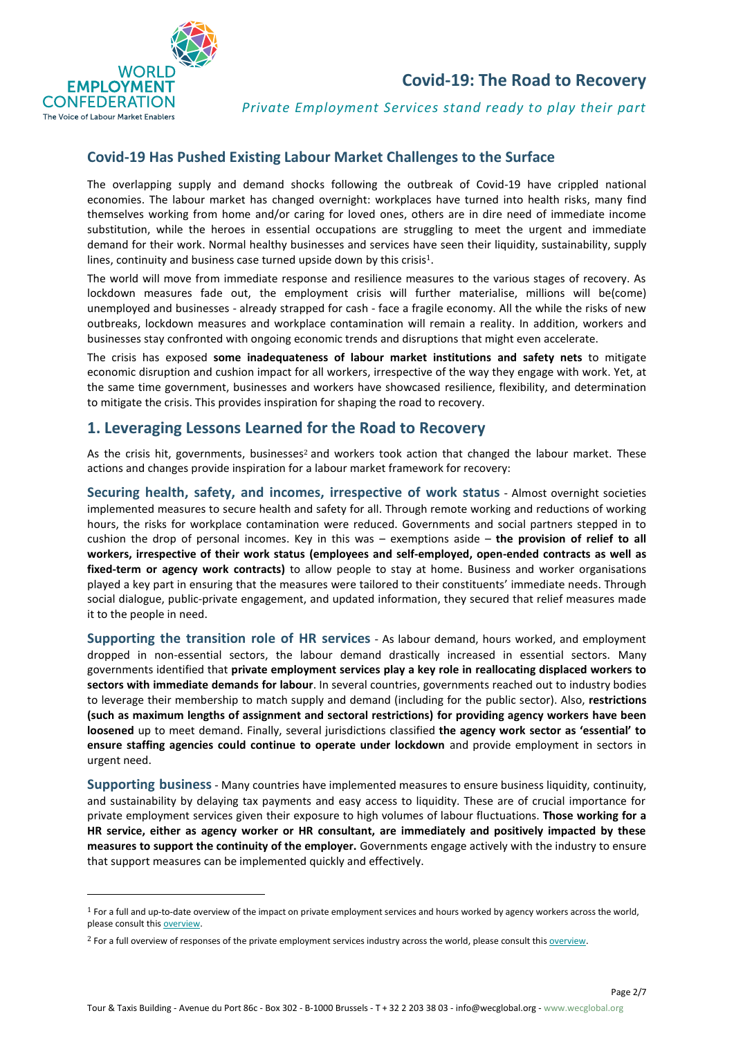

*Private Employment Services stand ready to play their part*

## **Covid-19 Has Pushed Existing Labour Market Challenges to the Surface**

The overlapping supply and demand shocks following the outbreak of Covid-19 have crippled national economies. The labour market has changed overnight: workplaces have turned into health risks, many find themselves working from home and/or caring for loved ones, others are in dire need of immediate income substitution, while the heroes in essential occupations are struggling to meet the urgent and immediate demand for their work. Normal healthy businesses and services have seen their liquidity, sustainability, supply lines, continuity and business case turned upside down by this crisis<sup>1</sup>.

The world will move from immediate response and resilience measures to the various stages of recovery. As lockdown measures fade out, the employment crisis will further materialise, millions will be(come) unemployed and businesses - already strapped for cash - face a fragile economy. All the while the risks of new outbreaks, lockdown measures and workplace contamination will remain a reality. In addition, workers and businesses stay confronted with ongoing economic trends and disruptions that might even accelerate.

The crisis has exposed **some inadequateness of labour market institutions and safety nets** to mitigate economic disruption and cushion impact for all workers, irrespective of the way they engage with work. Yet, at the same time government, businesses and workers have showcased resilience, flexibility, and determination to mitigate the crisis. This provides inspiration for shaping the road to recovery.

## **1. Leveraging Lessons Learned for the Road to Recovery**

As the crisis hit, governments, businesses<sup>2</sup> and workers took action that changed the labour market. These actions and changes provide inspiration for a labour market framework for recovery:

**Securing health, safety, and incomes, irrespective of work status** - Almost overnight societies implemented measures to secure health and safety for all. Through remote working and reductions of working hours, the risks for workplace contamination were reduced. Governments and social partners stepped in to cushion the drop of personal incomes. Key in this was – exemptions aside – **the provision of relief to all workers, irrespective of their work status (employees and self-employed, open-ended contracts as well as fixed-term or agency work contracts)** to allow people to stay at home. Business and worker organisations played a key part in ensuring that the measures were tailored to their constituents' immediate needs. Through social dialogue, public-private engagement, and updated information, they secured that relief measures made it to the people in need.

**Supporting the transition role of HR services** - As labour demand, hours worked, and employment dropped in non-essential sectors, the labour demand drastically increased in essential sectors. Many governments identified that **private employment services play a key role in reallocating displaced workers to sectors with immediate demands for labour**. In several countries, governments reached out to industry bodies to leverage their membership to match supply and demand (including for the public sector). Also, **restrictions (such as maximum lengths of assignment and sectoral restrictions) for providing agency workers have been loosened** up to meet demand. Finally, several jurisdictions classified **the agency work sector as 'essential' to ensure staffing agencies could continue to operate under lockdown** and provide employment in sectors in urgent need.

**Supporting business**- Many countries have implemented measures to ensure business liquidity, continuity, and sustainability by delaying tax payments and easy access to liquidity. These are of crucial importance for private employment services given their exposure to high volumes of labour fluctuations. **Those working for a HR service, either as agency worker or HR consultant, are immediately and positively impacted by these measures to support the continuity of the employer.** Governments engage actively with the industry to ensure that support measures can be implemented quickly and effectively.

<sup>1</sup> For a full and up-to-date overview of the impact on private employment services and hours worked by agency workers across the world, please consult thi[s overview.](https://wecglobal.org/uploads/2020/07/Agency-work-trends-during-covid-19.pdf)

<sup>&</sup>lt;sup>2</sup> For a full overview of responses of the private employment services industry across the world, please consult this overview.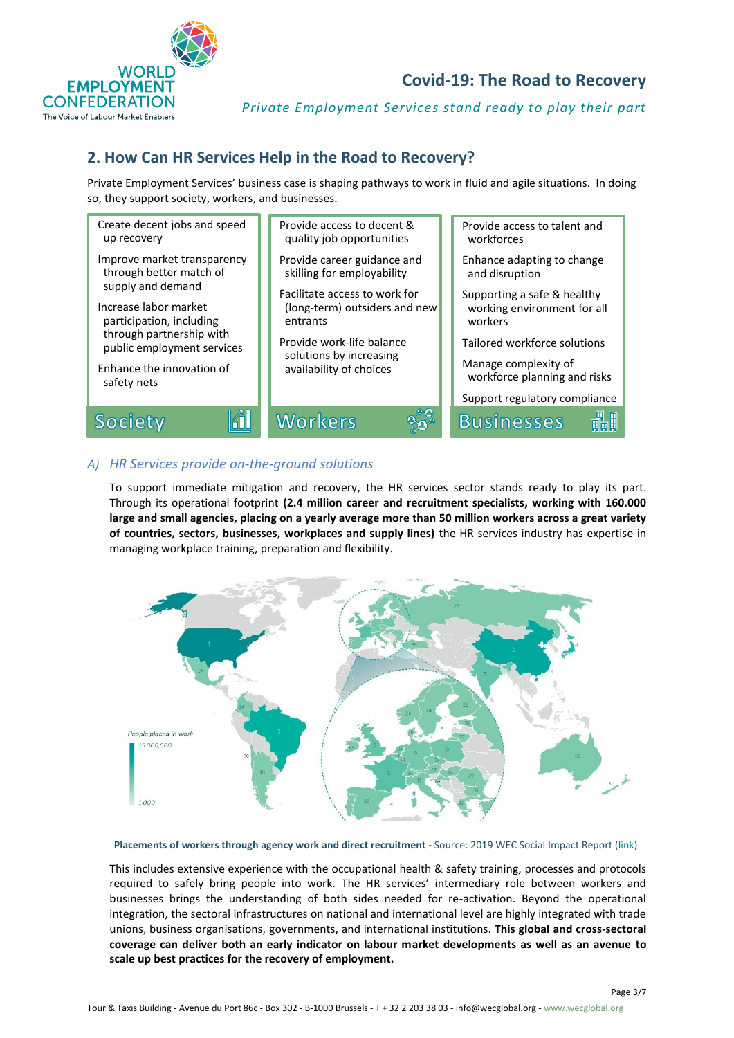

*Private Employment Services stand ready to play their part*

# **2. How Can HR Services Help in the Road to Recovery?**

Private Employment Services' business case is shaping pathways to work in fluid and agile situations. In doing so, they support society, workers, and businesses.



#### *A) HR Services provide on-the-ground solutions*

To support immediate mitigation and recovery, the HR services sector stands ready to play its part. Through its operational footprint **(2.4 million career and recruitment specialists, working with 160.000 large and small agencies, placing on a yearly average more than 50 million workers across a great variety of countries, sectors, businesses, workplaces and supply lines)** the HR services industry has expertise in managing workplace training, preparation and flexibility.



**Placements of workers through agency work and direct recruitment -** Source: 2019 WEC Social Impact Report [\(link\)](https://wecglobal.org/uploads/2019/11/2019_WEC_Social-Impact-Report.pdf)

This includes extensive experience with the occupational health & safety training, processes and protocols required to safely bring people into work. The HR services' intermediary role between workers and businesses brings the understanding of both sides needed for re-activation. Beyond the operational integration, the sectoral infrastructures on national and international level are highly integrated with trade unions, business organisations, governments, and international institutions. **This global and cross-sectoral coverage can deliver both an early indicator on labour market developments as well as an avenue to scale up best practices for the recovery of employment.**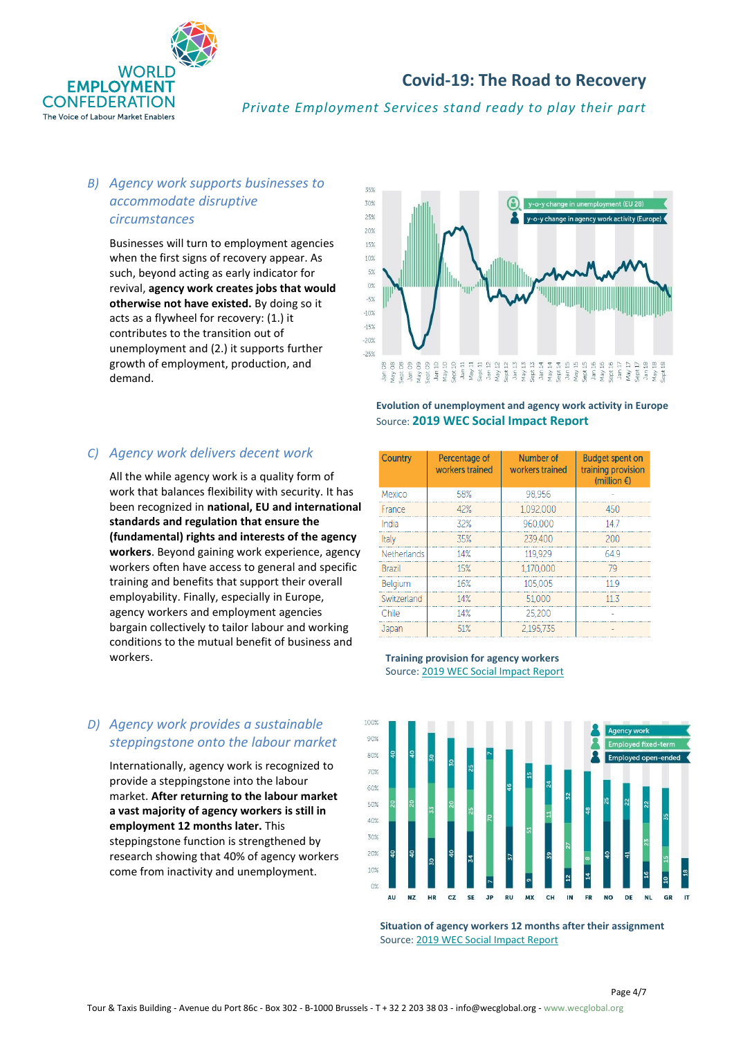

*Private Employment Services stand ready to play their part*

## *B) Agency work supports businesses to accommodate disruptive circumstances*

Businesses will turn to employment agencies when the first signs of recovery appear. As such, beyond acting as early indicator for revival, **agency work creates jobs that would otherwise not have existed.** By doing so it acts as a flywheel for recovery: (1.) it contributes to the transition out of unemployment and (2.) it supports further growth of employment, production, and demand.



#### **Evolution of unemployment and agency work activity in Europe** Source: **[2019 WEC Social Impact Report](https://wecglobal.org/uploads/2019/11/2019_WEC_Social-Impact-Report.pdf)**

#### *C) Agency work delivers decent work*

All the while agency work is a quality form of work that balances flexibility with security. It has been recognized in **national, EU and international standards and regulation that ensure the (fundamental) rights and interests of the agency workers**. Beyond gaining work experience, agency workers often have access to general and specific training and benefits that support their overall employability. Finally, especially in Europe, agency workers and employment agencies bargain collectively to tailor labour and working conditions to the mutual benefit of business and workers.

## *D) Agency work provides a sustainable steppingstone onto the labour market*

Internationally, agency work is recognized to provide a steppingstone into the labour market. **After returning to the labour market a vast majority of agency workers is still in employment 12 months later.** This steppingstone function is strengthened by research showing that 40% of agency workers come from inactivity and unemployment.

Number of **Budget spent on** Country Percentage of workers trained workers trained training provision (million  $\epsilon$ ) Mexico 58% 98.956 450 France  $42%$ 1,092,000 32% 960,000  $14.7$ India 35% 200 Italy 239,400 Netherlands 14% 119,929 64.9 Brazil 15% 1.170.000 79 Belgium 16% 105.005 11.9 Switzerland 14% 51,000  $11.3$ Chile 14% 25,200 ÷, 51% 2,195,735 Japan

#### **Training provision for agency workers** Source[: 2019 WEC Social Impact Report](https://wecglobal.org/uploads/2019/11/2019_WEC_Social-Impact-Report.pdf)



**Situation of agency workers 12 months after their assignment**  Source: [2019 WEC Social Impact Report](https://wecglobal.org/uploads/2019/11/2019_WEC_Social-Impact-Report.pdf)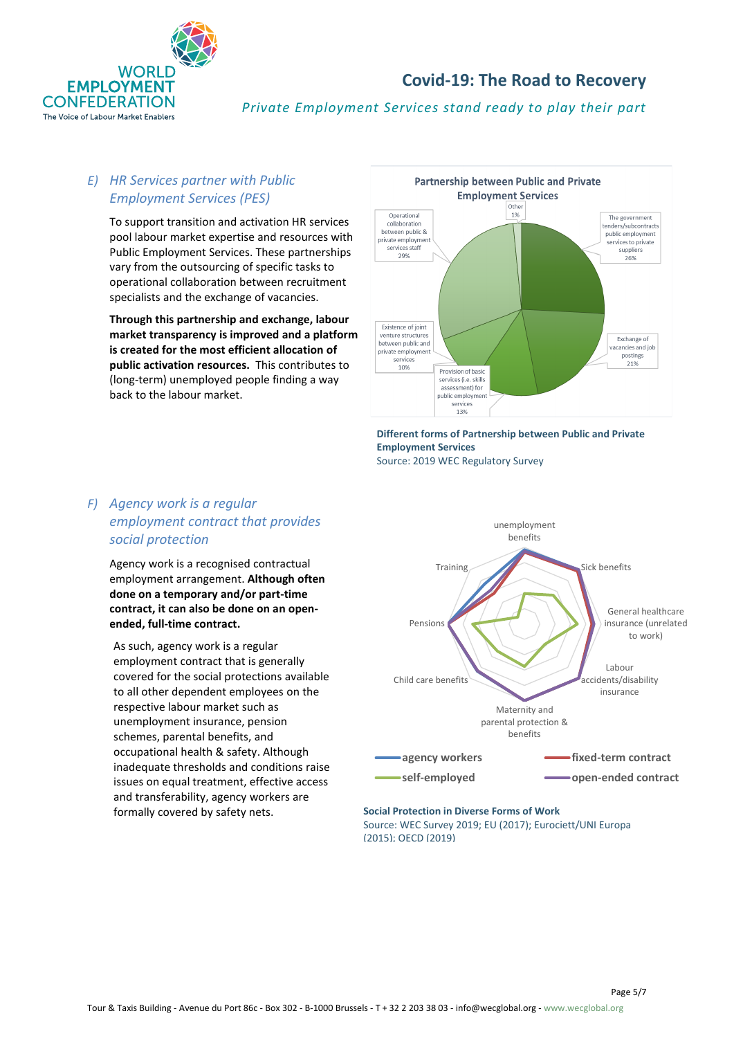

*Private Employment Services stand ready to play their part*

## *E) HR Services partner with Public Employment Services (PES)*

To support transition and activation HR services pool labour market expertise and resources with Public Employment Services. These partnerships vary from the outsourcing of specific tasks to operational collaboration between recruitment specialists and the exchange of vacancies.

**Through this partnership and exchange, labour market transparency is improved and a platform is created for the most efficient allocation of public activation resources.** This contributes to (long-term) unemployed people finding a way back to the labour market.



**Different forms of Partnership between Public and Private Employment Services**  Source: 2019 WEC Regulatory Survey

## *F) Agency work is a regular employment contract that provides social protection*

Agency work is a recognised contractual employment arrangement. **Although often done on a temporary and/or part-time contract, it can also be done on an openended, full-time contract.**

As such, agency work is a regular employment contract that is generally covered for the social protections available to all other dependent employees on the respective labour market such as unemployment insurance, pension schemes, parental benefits, and occupational health & safety. Although inadequate thresholds and conditions raise issues on equal treatment, effective access and transferability, agency workers are formally covered by safety nets. **Social Protection in Diverse Forms of Work**



#### Source: WEC Survey 2019; EU (2017); Eurociett/UNI Europa (2015); OECD (2019)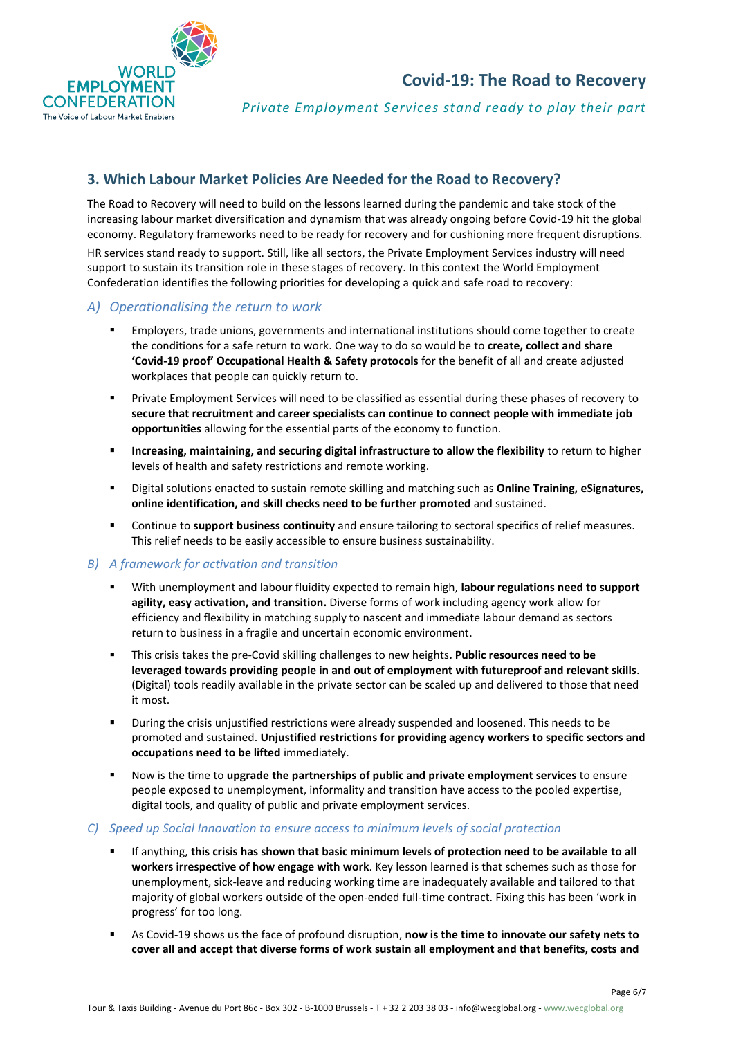

*Private Employment Services stand ready to play their part*

# **3. Which Labour Market Policies Are Needed for the Road to Recovery?**

The Road to Recovery will need to build on the lessons learned during the pandemic and take stock of the increasing labour market diversification and dynamism that was already ongoing before Covid-19 hit the global economy. Regulatory frameworks need to be ready for recovery and for cushioning more frequent disruptions. HR services stand ready to support. Still, like all sectors, the Private Employment Services industry will need support to sustain its transition role in these stages of recovery. In this context the World Employment Confederation identifies the following priorities for developing a quick and safe road to recovery:

## *A) Operationalising the return to work*

- **Employers, trade unions, governments and international institutions should come together to create** the conditions for a safe return to work. One way to do so would be to **create, collect and share 'Covid-19 proof' Occupational Health & Safety protocols** for the benefit of all and create adjusted workplaces that people can quickly return to.
- **•** Private Employment Services will need to be classified as essential during these phases of recovery to **secure that recruitment and career specialists can continue to connect people with immediate job opportunities** allowing for the essential parts of the economy to function.
- **Increasing, maintaining, and securing digital infrastructure to allow the flexibility** to return to higher levels of health and safety restrictions and remote working.
- Digital solutions enacted to sustain remote skilling and matching such as **Online Training, eSignatures, online identification, and skill checks need to be further promoted** and sustained.
- Continue to **support business continuity** and ensure tailoring to sectoral specifics of relief measures. This relief needs to be easily accessible to ensure business sustainability.

#### *B) A framework for activation and transition*

- With unemployment and labour fluidity expected to remain high, **labour regulations need to support agility, easy activation, and transition.** Diverse forms of work including agency work allow for efficiency and flexibility in matching supply to nascent and immediate labour demand as sectors return to business in a fragile and uncertain economic environment.
- This crisis takes the pre-Covid skilling challenges to new heights**. Public resources need to be leveraged towards providing people in and out of employment with futureproof and relevant skills**. (Digital) tools readily available in the private sector can be scaled up and delivered to those that need it most.
- During the crisis unjustified restrictions were already suspended and loosened. This needs to be promoted and sustained. **Unjustified restrictions for providing agency workers to specific sectors and occupations need to be lifted** immediately.
- Now is the time to **upgrade the partnerships of public and private employment services** to ensure people exposed to unemployment, informality and transition have access to the pooled expertise, digital tools, and quality of public and private employment services.

#### *C) Speed up Social Innovation to ensure access to minimum levels of social protection*

- If anything, this crisis has shown that basic minimum levels of protection need to be available to all **workers irrespective of how engage with work**. Key lesson learned is that schemes such as those for unemployment, sick-leave and reducing working time are inadequately available and tailored to that majority of global workers outside of the open-ended full-time contract. Fixing this has been 'work in progress' for too long.
- As Covid-19 shows us the face of profound disruption, **now is the time to innovate our safety nets to cover all and accept that diverse forms of work sustain all employment and that benefits, costs and**